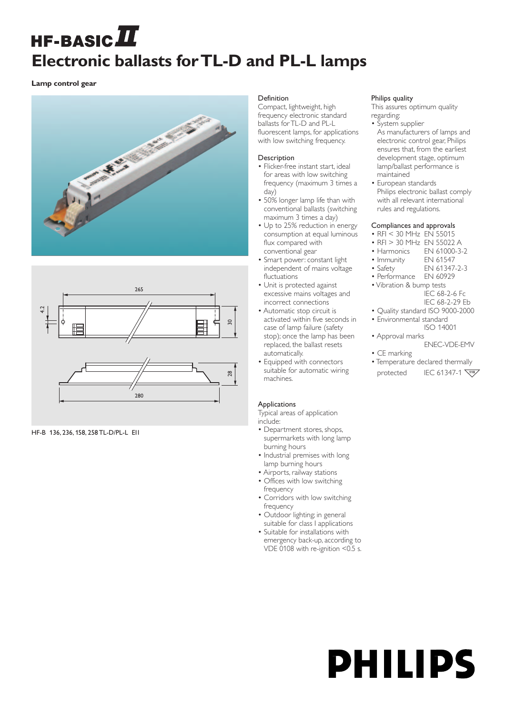# **HF-BASIC** $\boldsymbol{\mathit{\Pi}}$ **Electronic ballasts for TL-D and PL-L lamps**

**Lamp control gear**





HF-B 136, 236, 158, 258 TL-D/PL-L EII

### Definition

Compact, lightweight, high frequency electronic standard ballasts for TL-D and PL-L fluorescent lamps, for applications with low switching frequency.

# **Description**

- Flicker-free instant start, ideal for areas with low switching frequency (maximum 3 times a day)
- 50% longer lamp life than with conventional ballasts (switching maximum 3 times a day)
- Up to 25% reduction in energy consumption at equal luminous flux compared with conventional gear
- Smart power: constant light independent of mains voltage fluctuations
- Unit is protected against excessive mains voltages and incorrect connections
- Automatic stop circuit is activated within five seconds in case of lamp failure (safety stop); once the lamp has been replaced, the ballast resets automatically.
- Equipped with connectors suitable for automatic wiring machines.

# Applications

Typical areas of application include:

- Department stores, shops, supermarkets with long lamp burning hours
- Industrial premises with long lamp burning hours
- Airports, railway stations
- Offices with low switching frequency
- Corridors with low switching frequency
- Outdoor lighting; in general suitable for class I applications
- Suitable for installations with emergency back-up, according to VDE 0108 with re-ignition <0.5 s.

#### Philips quality

This assures optimum quality regarding:

- System supplier As manufacturers of lamps and electronic control gear, Philips ensures that, from the earliest development stage, optimum lamp/ballast performance is maintained
- European standards Philips electronic ballast comply with all relevant international rules and regulations.

# Compliances and approvals

- RFI < 30 MHz EN 55015
- RFI > 30 MHz EN 55022 A
- 
- Harmonics EN 61000-3-2<br>• Immunity EN 61547
- Immunity<br>• Safety • Safety EN 61347-2-3
- Performance EN 60929
- Vibration & bump tests IEC 68-2-6 Fc
	- IEC 68-2-29 Eb
- Quality standard ISO 9000-2000 • Environmental standard ISO 14001
- Approval marks
	- ENEC-VDE-EMV
- CE marking
- Temperature declared thermally protected IEC 61347-1

# **PHILIPS**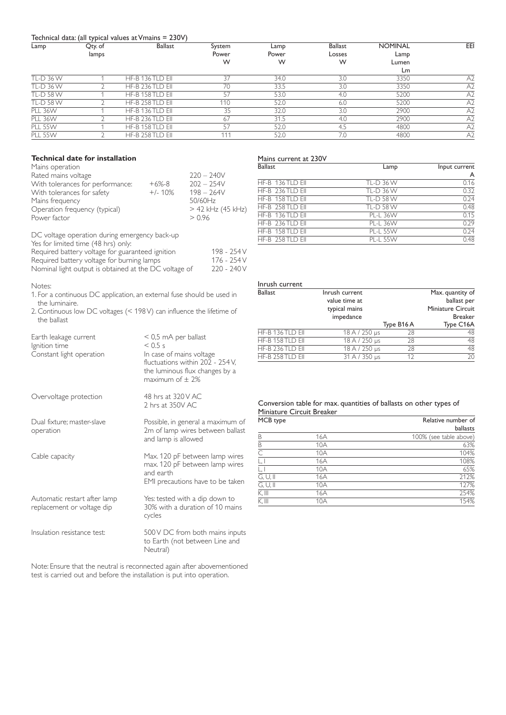#### Technical data: (all typical values at Vmains = 230V)

| Lamp             | Qty. of | <b>Ballast</b>   | System | Lamp  | <b>Ballast</b> | <b>NOMINAL</b> | EEI            |
|------------------|---------|------------------|--------|-------|----------------|----------------|----------------|
|                  | lamps   |                  | Power  | Power | Losses         | Lamp           |                |
|                  |         |                  | W      | W     | W              | Lumen          |                |
|                  |         |                  |        |       |                | Lm             |                |
| <b>TL-D 36 W</b> |         | HF-B 136 TLD EII | 37     | 34.0  | 3.0            | 3350           | A <sub>2</sub> |
| TL-D 36 W        |         | HF-B 236 TLD EII | 70     | 33.5  | 3.0            | 3350           | A <sub>2</sub> |
| <b>TL-D 58 W</b> |         | HF-B 158 TLD EII | 57     | 53.0  | 4.0            | 5200           | A <sub>2</sub> |
| <b>TL-D 58 W</b> |         | HF-B 258 TLD EII | 110    | 52.0  | 6.0            | 5200           | A <sub>2</sub> |
| <b>PLL 36W</b>   |         | HF-B 136 TLD EII | 35     | 32.0  | 3.0            | 2900           | A <sub>2</sub> |
| <b>PLL 36W</b>   |         | HF-B 236 TLD EII | 67     | 31.5  | 4.0            | 2900           | A <sub>2</sub> |
| <b>PLL 55W</b>   |         | HF-B 158 TLD EII | 57     | 52.0  | 4.5            | 4800           | A <sub>2</sub> |
| <b>PLL 55W</b>   |         | HF-B 258 TLD EII | 111    | 52.0  | 7.0            | 4800           | A <sub>2</sub> |
|                  |         |                  |        |       |                |                |                |

#### **Technical date for installation**

| Mains operation                  |           |                     |
|----------------------------------|-----------|---------------------|
| Rated mains voltage              |           | $220 - 240V$        |
| With tolerances for performance: | $+6% -8$  | $202 - 254V$        |
| With tolerances for safety       | $+/- 10%$ | $198 - 264V$        |
| Mains frequency                  |           | 50/60Hz             |
| Operation frequency (typical)    |           | $>$ 42 kHz (45 kHz) |
| Power factor                     |           | > 0.96              |
|                                  |           |                     |

DC voltage operation during emergency back-up

| Yes for limited time (48 hrs) only:                   |             |
|-------------------------------------------------------|-------------|
| Required battery voltage for guaranteed ignition      | 198 - 254 V |
| Required battery voltage for burning lamps            | 176 - 254 V |
| Nominal light output is obtained at the DC voltage of | 220 - 240 V |

#### Notes:

- 1. For a continuous DC application, an external fuse should be used in the luminaire.
- 2. Continuous low DC voltages (< 198 V) can influence the lifetime of the ballast

| Earth leakage current<br>Ignition time<br>Constant light operation | $<$ 0,5 mA per ballast<br>$<$ 0.5 s<br>In case of mains voltage<br>fluctuations within 202 - 254 V.<br>the luminous flux changes by a<br>maximum of $\pm$ 2% |
|--------------------------------------------------------------------|--------------------------------------------------------------------------------------------------------------------------------------------------------------|
| Overvoltage protection                                             | 48 hrs at 320 V AC<br>2 hrs at 350V AC                                                                                                                       |
| Dual fixture; master-slave<br>operation                            | Possible, in general a maximum of<br>2m of lamp wires between ballast<br>and lamp is allowed                                                                 |
| Cable capacity                                                     | Max. 120 pF between lamp wires<br>max. 120 pF between lamp wires<br>and earth<br>EMI precautions have to be taken                                            |
| Automatic restart after lamp<br>replacement or voltage dip         | Yes: tested with a dip down to<br>30% with a duration of 10 mains<br>cycles                                                                                  |
| Insulation resistance test:                                        | 500 V DC from both mains inputs<br>to Earth (not between Line and<br>Neutral)                                                                                |

Note: Ensure that the neutral is reconnected again after abovementioned test is carried out and before the installation is put into operation.

#### Mains current at 230V

| <b>Ballast</b>   | Lamp             | Input current |
|------------------|------------------|---------------|
|                  |                  | A             |
| HF-B 136 TLD EII | <b>TL-D 36 W</b> | 0.16          |
| HF-B 236 TLD EII | <b>TL-D 36 W</b> | 0.32          |
| HF-B 158 TLD EII | <b>TL-D 58 W</b> | 0.24          |
| HF-B 258 TLD EII | <b>TL-D 58 W</b> | 0.48          |
| HF-B 136 TLD EII | <b>PL-L 36W</b>  | 0.15          |
| HF-B 236 TLD EII | <b>PL-L 36W</b>  | 0.29          |
| HF-B 158 TLD EII | <b>PL-L 55W</b>  | 0.24          |
| HF-B 258 TLD EII | <b>PL-L 55W</b>  | 0.48          |

| Inrush current<br>value time at<br>typical mains | Max. quantity of<br>ballast per<br>Miniature Circuit<br><b>Breaker</b> |               |  |
|--------------------------------------------------|------------------------------------------------------------------------|---------------|--|
|                                                  | Type B16 A                                                             | Type C16A     |  |
| 18 A / 250 µs                                    | 28                                                                     | 48            |  |
| 18 A / 250 µs                                    | 28                                                                     | 48            |  |
|                                                  | 28                                                                     | 48            |  |
| 31 A / 350 µs                                    | 12                                                                     | 20            |  |
|                                                  | impedance                                                              | 18 A / 250 µs |  |

#### Conversion table for max. quantities of ballasts on other types of Miniature Circuit Breaker

| MCB type            |     | Relative number of     |  |  |
|---------------------|-----|------------------------|--|--|
|                     |     | ballasts               |  |  |
| B                   | 16A | 100% (see table above) |  |  |
| B                   | 10A | 63%                    |  |  |
| $\subset$           | 10A | 104%                   |  |  |
| L, I                | 16A | 108%                   |  |  |
| $\lfloor . \rfloor$ | 10A | 65%                    |  |  |
| $G, U,$ II          | 16A | 212%                   |  |  |
| $G, U,$ II          | 10A | 127%                   |  |  |
| K, III              | 16A | 254%                   |  |  |
| $K.$ III            | 10A | 154%                   |  |  |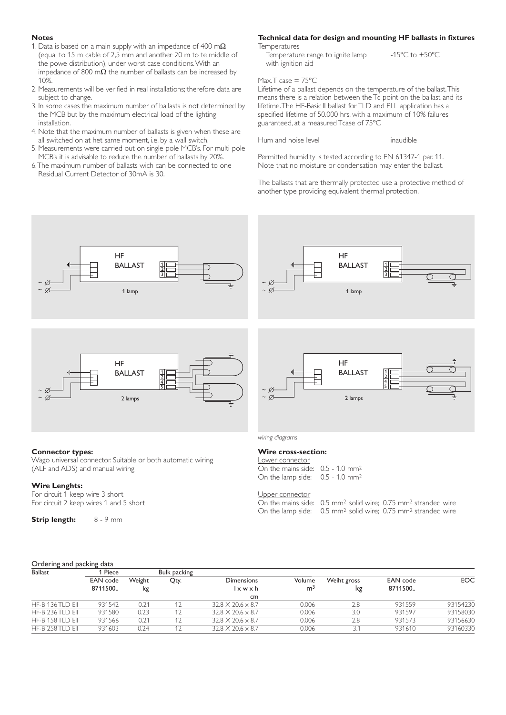#### **Notes**

- 1. Data is based on a main supply with an impedance of 400 m $\Omega$ (equal to 15 m cable of 2,5 mm and another 20 m to te middle of the powe distribution), under worst case conditions.With an impedance of 800 m $\Omega$  the number of ballasts can be increased by 10%.
- 2. Measurements will be verified in real installations; therefore data are subject to change.
- 3. In some cases the maximum number of ballasts is not determined by the MCB but by the maximum electrical load of the lighting installation.
- 4. Note that the maximum number of ballasts is given when these are all switched on at het same moment, i.e. by a wall switch.
- 5. Measurements were carried out on single-pole MCB's. For multi-pole MCB's it is advisable to reduce the number of ballasts by 20%.
- 6.The maximum number of ballasts wich can be connected to one Residual Current Detector of 30mA is 30.

### **Technical data for design and mounting HF ballasts in fixtures**

**Temperatures** 

Temperature range to ignite lamp  $-15^{\circ}$ C to  $+50^{\circ}$ C with ignition aid

#### Max.T case  $= 75^{\circ}$ C

Lifetime of a ballast depends on the temperature of the ballast.This means there is a relation between the Tc point on the ballast and its lifetime.The HF-Basic II ballast for TLD and PLL application has a specified lifetime of 50.000 hrs, with a maximum of 10% failures guaranteed, at a measured Tcase of 75ºC

Hum and noise level **inaudible** 

Permitted humidity is tested according to EN 61347-1 par. 11. Note that no moisture or condensation may enter the ballast.

The ballasts that are thermally protected use a protective method of another type providing equivalent thermal protection.



**Strip length:** 8 - 9 mm

| On the mains side: $\,$ 0.5 mm $^{2}$ solid wire; 0.75 r   |  |
|------------------------------------------------------------|--|
| On the lamp side: $0.5$ mm <sup>2</sup> solid wire; 0.75 r |  |

#### Ordering and packing data

| Ballast          | Piece               |              | Bulk packing |                                              |                          |                   |                            |            |
|------------------|---------------------|--------------|--------------|----------------------------------------------|--------------------------|-------------------|----------------------------|------------|
|                  | EAN code<br>8711500 | Weight<br>kg | Qty.         | <b>Dimensions</b><br>$\vert x \le x h \vert$ | Volume<br>m <sup>3</sup> | Weiht gross<br>kg | <b>EAN</b> code<br>8711500 | <b>EOC</b> |
|                  |                     |              |              | cm                                           |                          |                   |                            |            |
| HF-B 136 TLD EII | 931542              | 0.21         |              | $32.8 \times 20.6 \times 8.7$                | 0.006                    | 2.8               | 931559                     | 93154230   |
| HF-B 236 TLD EII | 931580              | 0.23         |              | $32.8 \times 20.6 \times 8.7$                | 0.006                    | 3.0               | 931597                     | 93158030   |
| HF-B 158 TLD EII | 931566              | 0.21         |              | $32.8 \times 20.6 \times 8.7$                | 0.006                    | 2.8               | 931573                     | 93156630   |
| HF-B 258 TLD EII | 931603              | 0.24         |              | $32.8 \times 20.6 \times 8.7$                | 0.006                    |                   | 931610                     | 93160330   |